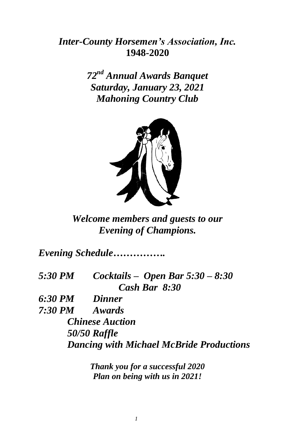# *Inter-County Horsemen's Association, Inc.* **1948-2020**

*72 nd Annual Awards Banquet Saturday, January 23, 2021 Mahoning Country Club*



*Welcome members and guests to our Evening of Champions.*

*Evening Schedule…………….*

*5:30 PM Cocktails – Open Bar 5:30 – 8:30 Cash Bar 8:30* 

*6:30 PM Dinner 7:30 PM Awards Chinese Auction 50/50 Raffle Dancing with Michael McBride Productions*

> *Thank you for a successful 2020 Plan on being with us in 2021!*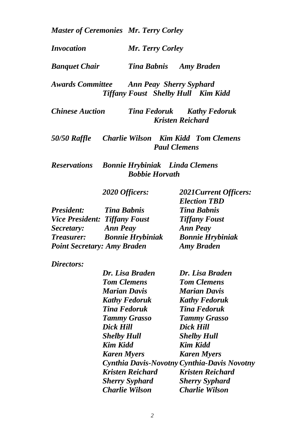*Master of Ceremonies Mr. Terry Corley*

*Invocation Mr. Terry Corley*

*Banquet Chair Tina Babnis Amy Braden*

*Awards Committee Ann Peay Sherry Syphard Tiffany Foust Shelby Hull Kim Kidd*

*Chinese Auction Tina Fedoruk Kathy Fedoruk Kristen Reichard*

*50/50 Raffle Charlie Wilson Kim Kidd Tom Clemens Paul Clemens*

*Reservations Bonnie Hrybiniak Linda Clemens Bobbie Horvath*

*2020 Officers: 2021Current Officers:*

| <b>Tina Babnis</b>                   | <b>Tina Babnis</b>      |
|--------------------------------------|-------------------------|
| <b>Vice President: Tiffany Foust</b> | <b>Tiffany Foust</b>    |
| <b>Ann Peay</b>                      | <b>Ann Peay</b>         |
| <b>Bonnie Hrybiniak</b>              | <b>Bonnie Hrybiniak</b> |
| <b>Point Secretary: Amy Braden</b>   | <b>Amy Braden</b>       |
|                                      |                         |

*Directors:*

| Dr. Lisa Braden         | Dr. Lisa Braden                             |
|-------------------------|---------------------------------------------|
| <b>Tom Clemens</b>      | <b>Tom Clemens</b>                          |
| <b>Marian Davis</b>     | <b>Marian Davis</b>                         |
| <b>Kathy Fedoruk</b>    | <b>Kathy Fedoruk</b>                        |
| <b>Tina Fedoruk</b>     | <b>Tina Fedoruk</b>                         |
| <b>Tammy Grasso</b>     | <b>Tammy Grasso</b>                         |
| Dick Hill               | Dick Hill                                   |
| <b>Shelby Hull</b>      | <b>Shelby Hull</b>                          |
| Kim Kidd                | Kim Kidd                                    |
| <b>Karen Myers</b>      | <b>Karen Myers</b>                          |
|                         | Cynthia Davis-Novotny Cynthia-Davis Novotny |
| <b>Kristen Reichard</b> | <b>Kristen Reichard</b>                     |
| <b>Sherry Syphard</b>   | <b>Sherry Syphard</b>                       |
| Charlie Wilson          | Charlie Wilson                              |

*Election TBD*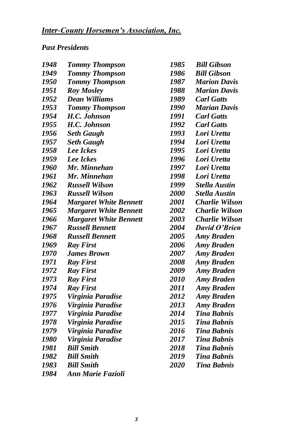# *Past Presidents*

| 1948 | <b>Tommy Thompson</b>         | 1985        | <b>Bill Gibson</b>    |
|------|-------------------------------|-------------|-----------------------|
| 1949 | <b>Tommy Thompson</b>         | 1986        | <b>Bill Gibson</b>    |
| 1950 | <b>Tommy Thompson</b>         | 1987        | <b>Marion Davis</b>   |
| 1951 | <b>Roy Mosley</b>             | 1988        | <b>Marian Davis</b>   |
| 1952 | <b>Dean Williams</b>          | 1989        | <b>Carl Gatts</b>     |
| 1953 | <b>Tommy Thompson</b>         | 1990        | <b>Marian Davis</b>   |
| 1954 | H.C. Johnson                  | 1991        | <b>Carl Gatts</b>     |
| 1955 | H.C. Johnson                  | 1992        | <b>Carl Gatts</b>     |
| 1956 | <b>Seth Gaugh</b>             | 1993        | Lori Uretta           |
| 1957 | <b>Seth Gaugh</b>             | 1994        | Lori Uretta           |
| 1958 | Lee Ickes                     | 1995        | Lori Uretta           |
| 1959 | <b>Lee Ickes</b>              | 1996        | Lori Uretta           |
| 1960 | Mr. Minnehan                  | 1997        | Lori Uretta           |
| 1961 | Mr. Minnehan                  | 1998        | Lori Uretta           |
| 1962 | <b>Russell Wilson</b>         | 1999        | <b>Stella Austin</b>  |
| 1963 | <b>Russell Wilson</b>         | <b>2000</b> | <b>Stella Austin</b>  |
| 1964 | <b>Margaret White Bennett</b> | 2001        | Charlie Wilson        |
| 1965 | <b>Margaret White Bennett</b> | 2002        | Charlie Wilson        |
| 1966 | <b>Margaret White Bennett</b> | 2003        | <b>Charlie Wilson</b> |
| 1967 | <b>Russell Bennett</b>        | 2004        | David O'Brien         |
| 1968 | <b>Russell Bennett</b>        | 2005        | <b>Amy Braden</b>     |
| 1969 | <b>Ray First</b>              | 2006        | <b>Amy Braden</b>     |
| 1970 | <b>James Brown</b>            | 2007        | <b>Amy Braden</b>     |
| 1971 | <b>Ray First</b>              | 2008        | <b>Amy Braden</b>     |
| 1972 | <b>Ray First</b>              | 2009        | <b>Amy Braden</b>     |
| 1973 | <b>Ray First</b>              | 2010        | <b>Amy Braden</b>     |
| 1974 | <b>Ray First</b>              | <i>2011</i> | <b>Amy Braden</b>     |
| 1975 | Virginia Paradise             | 2012        | <b>Amy Braden</b>     |
| 1976 | Virginia Paradise             | 2013        | <b>Amy Braden</b>     |
| 1977 | Virginia Paradise             | 2014        | <b>Tina Babnis</b>    |
| 1978 | Virginia Paradise             | 2015        | <b>Tina Babnis</b>    |
| 1979 | Virginia Paradise             | 2016        | <b>Tina Babnis</b>    |
| 1980 | Virginia Paradise             | 2017        | <b>Tina Babnis</b>    |
| 1981 | <b>Bill Smith</b>             | 2018        | <b>Tina Babnis</b>    |
| 1982 | <b>Bill Smith</b>             | 2019        | <b>Tina Babnis</b>    |
| 1983 | <b>Bill Smith</b>             | 2020        | <b>Tina Babnis</b>    |
| 1984 | <b>Ann Marie Fazioli</b>      |             |                       |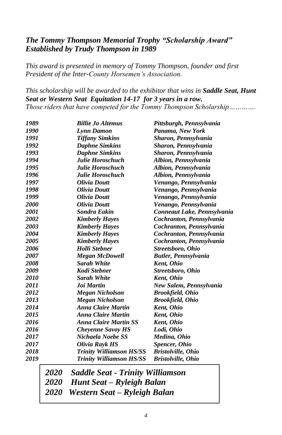## *The Tommy Thompson Memorial Trophy "Scholarship Award" Established by Trudy Thompson in 1989*

*This award is presented in memory of Tommy Thompson, founder and first President of the Inter-County Horsemen's Association.*

*This scholarship will be awarded to the exhibitor that wins in Saddle Seat, Hunt Seat or Western Seat Equitation 14-17 for 3 years in a row. Those riders that have competed for the Tommy Thompson Scholarship………….*

| 1989 |             | <b>Billie Jo Altemus</b>                | Pittsburgh, Pennsylvania    |
|------|-------------|-----------------------------------------|-----------------------------|
| 1990 |             | Lynn Damon                              | Panama, New York            |
| 1991 |             | <b>Tiffany Simkins</b>                  | Sharon, Pennsylvania        |
| 1992 |             | <b>Daphne Simkins</b>                   | Sharon, Pennsylvania        |
| 1993 |             | <b>Daphne Simkins</b>                   | Sharon, Pennsylvania        |
| 1994 |             | Julie Horoschuch                        | Albion, Pennsylvania        |
| 1995 |             | Julie Horoschuch                        | Albion, Pennsylvania        |
| 1996 |             | Julie Horoschuch                        | Albion, Pennsylvania        |
| 1997 |             | <b>Olivia Doutt</b>                     | Venango, Pennsylvania       |
| 1998 |             | Olivia Doutt                            | Venango, Pennsylvania       |
| 1999 |             | <b>Olivia Doutt</b>                     | Venango, Pennsylvania       |
| 2000 |             | Olivia Doutt                            | Venango, Pennsylvania       |
| 2001 |             | <b>Sondra Eakin</b>                     | Conneaut Lake, Pennsylvania |
| 2002 |             | <b>Kimberly Hayes</b>                   | Cochranton, Pennsylvania    |
| 2003 |             | <b>Kimberly Hayes</b>                   | Cochranton, Pennsylvania    |
| 2004 |             | <b>Kimberly Hayes</b>                   | Cochranton, Pennsylvania    |
| 2005 |             | <b>Kimberly Hayes</b>                   | Cochranton, Pennsylvania    |
| 2006 |             | <b>Holli Stebner</b>                    | Streetsboro, Ohio           |
| 2007 |             | <b>Megan McDowell</b>                   | <b>Butler, Pennsylvania</b> |
| 2008 |             | <b>Sarah White</b>                      | Kent, Ohio                  |
| 2009 |             | Kodi Stebner                            | Streetsboro, Ohio           |
| 2010 |             | <b>Sarah White</b>                      | Kent, Ohio                  |
| 2011 |             | Joi Martin                              | New Salem, Pennsylvania     |
| 2012 |             | <b>Megan Nicholson</b>                  | <b>Brookfield, Ohio</b>     |
| 2013 |             | <b>Megan Nicholson</b>                  | <b>Brookfield, Ohio</b>     |
| 2014 |             | <b>Anna Claire Martin</b>               | <b>Kent</b> , Ohio          |
| 2015 |             | <b>Anna Claire Martin</b>               | Kent, Ohio                  |
| 2016 |             | <b>Anna Claire Martin SS</b>            | <b>Kent</b> , Ohio          |
| 2016 |             | <b>Cheyenne Savoy HS</b>                | Lodi, Ohio                  |
| 2017 |             | Nichaela Noebe SS                       | Medina, Ohio                |
| 2017 |             | Olivia Rayk HS                          | <b>Spencer</b> , Ohio       |
| 2018 |             | Trinity Williamson HS/SS                | <b>Bristolville, Ohio</b>   |
| 2019 |             | <b>Trinity Williamson HS/SS</b>         | <b>Bristolville, Ohio</b>   |
|      | <i>2020</i> | <b>Saddle Seat - Trinity Williamson</b> |                             |

*Hunt Seat – Ryleigh Balan*

*2020 Western Seat – Ryleigh Balan*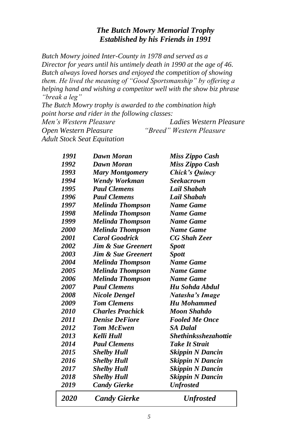## *The Butch Mowry Memorial Trophy Established by his Friends in 1991*

*Butch Mowry joined Inter-County in 1978 and served as a Director for years until his untimely death in 1990 at the age of 46. Butch always loved horses and enjoyed the competition of showing them. He lived the meaning of "Good Sportsmanship" by offering a helping hand and wishing a competitor well with the show biz phrase "break a leg"*

*The Butch Mowry trophy is awarded to the combination high point horse and rider in the following classes:*

*Men's Western Pleasure Ladies Western Pleasure Open Western Pleasure "Breed" Western Pleasure Adult Stock Seat Equitation*

| <i><b>2020</b></i> | <b>Candy Gierke</b>           | <b>Unfrosted</b>            |
|--------------------|-------------------------------|-----------------------------|
| 2019               | <b>Candy Gierke</b>           | <b>Unfrosted</b>            |
| 2018               | <b>Shelby Hull</b>            | <b>Skippin N Dancin</b>     |
| 2017               | <b>Shelby Hull</b>            | <b>Skippin N Dancin</b>     |
| 2016               | <b>Shelby Hull</b>            | <b>Skippin N Dancin</b>     |
| 2015               | <b>Shelby Hull</b>            | <b>Skippin N Dancin</b>     |
| 2014               | <b>Paul Clemens</b>           | <b>Take It Strait</b>       |
| 2013               | Kelli Hull                    | <b>Shethinksshezahottie</b> |
| 2012               | <b>Tom McEwen</b>             | <b>SA Dalal</b>             |
| 2011               | <b>Denise DeFiore</b>         | <b>Fooled Me Once</b>       |
| 2010               | <b>Charles Prachick</b>       | <b>Moon Shahdo</b>          |
| 2009               | <b>Tom Clemens</b>            | <b>Hu Mohammed</b>          |
| 2008               | <b>Nicole Dengel</b>          | Natasha's Image             |
| 2007               | <b>Paul Clemens</b>           | Hu Sohda Abdul              |
| 2006               | <b>Melinda Thompson</b>       | <b>Name Game</b>            |
| 2005               | <b>Melinda Thompson</b>       | <b>Name Game</b>            |
| 2004               | <b>Melinda Thompson</b>       | <b>Name Game</b>            |
| 2003               | <b>Jim &amp; Sue Greenert</b> | <b>Spott</b>                |
| 2002               | <b>Jim &amp; Sue Greenert</b> | <b>Spott</b>                |
| 2001               | <b>Carol Goodrick</b>         | <b>CG Shah Zeer</b>         |
| 2000               | <b>Melinda Thompson</b>       | <b>Name Game</b>            |
| 1999               | <b>Melinda Thompson</b>       | <b>Name Game</b>            |
| 1998               | Melinda Thompson              | <b>Name Game</b>            |
| 1997               | Melinda Thompson              | Name Game                   |
| 1996               | <b>Paul Clemens</b>           | Lail Shabah                 |
| 1995               | <b>Paul Clemens</b>           | Lail Shabah                 |
| 1994               | <b>Wendy Workman</b>          | <b>Seekacrown</b>           |
| 1993               | <b>Mary Montgomery</b>        | Chick's Quincy              |
| 1992               | <b>Dawn Moran</b>             | Miss Zippo Cash             |
| 1991               | Dawn Moran                    | Miss Zippo Cash             |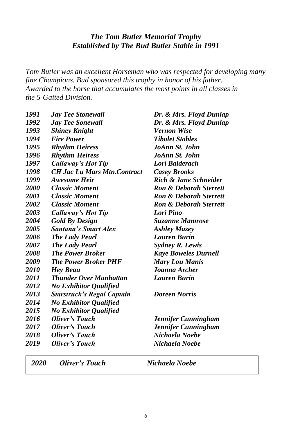## *The Tom Butler Memorial Trophy Established by The Bud Butler Stable in 1991*

*Tom Butler was an excellent Horseman who was respected for developing many fine Champions. Bud sponsored this trophy in honor of his father. Awarded to the horse that accumulates the most points in all classes in the 5-Gaited Division.*

| 1991        | <b>Jay Tee Stonewall</b>            | Dr. & Mrs. Floyd Dunlap           |
|-------------|-------------------------------------|-----------------------------------|
| 1992        | <b>Jay Tee Sonewall</b>             | Dr. & Mrs. Floyd Dunlap           |
| 1993        | <b>Shiney Knight</b>                | Vernon Wise                       |
| 1994        | <b>Fire Power</b>                   | <b>Tibolet Stables</b>            |
| 1995        | <b>Rhythm Heiress</b>               | JoAnn St. John                    |
| 1996        | <b>Rhythm Heiress</b>               | JoAnn St. John                    |
| 1997        | <b>Callaway's Hot Tip</b>           | Lori Balderach                    |
| 1998        | <b>CH Jac Lu Mars Mtn. Contract</b> | <b>Casey Brooks</b>               |
| 1999        | <b>Awesome Heir</b>                 | Rich & Jane Schneider             |
| <b>2000</b> | <b>Classic Moment</b>               | <b>Ron &amp; Deborah Sterrett</b> |
| 2001        | <b>Classic Moment</b>               | <b>Ron &amp; Deborah Sterrett</b> |
| 2002        | <b>Classic Moment</b>               | <b>Ron &amp; Deborah Sterrett</b> |
| 2003        | Callaway's Hot Tip                  | Lori Pino                         |
| 2004        | <b>Gold By Design</b>               | <b>Suzanne Mamrose</b>            |
| 2005        | <b>Santana's Smart Alex</b>         | <b>Ashley Mazey</b>               |
| 2006        | <b>The Lady Pearl</b>               | <b>Lauren Burin</b>               |
| 2007        | <b>The Lady Pearl</b>               | <b>Sydney R. Lewis</b>            |
| 2008        | <b>The Power Broker</b>             | <b>Kaye Boweles Durnell</b>       |
| 2009        | <b>The Power Broker PHF</b>         | <b>Mary Lou Manis</b>             |
| <i>2010</i> | <b>Hey Beau</b>                     | Joanna Archer                     |
| 2011        | <b>Thunder Over Manhattan</b>       | Lauren Burin                      |
| 2012        | <b>No Exhibitor Qualified</b>       |                                   |
| 2013        | <b>Starstruck's Regal Captain</b>   | <b>Doreen Norris</b>              |
| 2014        | <b>No Exhibitor Qualified</b>       |                                   |
| 2015        | <b>No Exhibitor Qualified</b>       |                                   |
| 2016        | Oliver's Touch                      | Jennifer Cunningham               |
| 2017        | <b>Oliver's Touch</b>               | Jennifer Cunningham               |
| 2018        | Oliver's Touch                      | Nichaela Noebe                    |
| 2019        | Oliver's Touch                      | Nichaela Noebe                    |
|             |                                     |                                   |

*2020 Oliver's Touch Nichaela Noebe*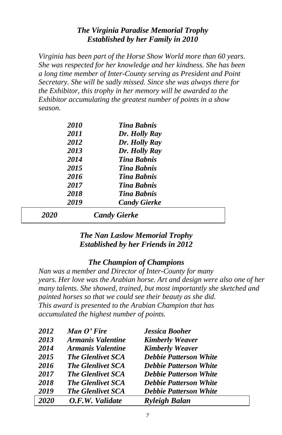### *The Virginia Paradise Memorial Trophy Established by her Family in 2010*

*Virginia has been part of the Horse Show World more than 60 years. She was respected for her knowledge and her kindness. She has been a long time member of Inter-County serving as President and Point Secretary. She will be sadly missed. Since she was always there for the Exhibitor, this trophy in her memory will be awarded to the Exhibitor accumulating the greatest number of points in a show season.*

|      | <i>2010</i><br>2011 | <b>Tina Bahnis</b><br>Dr. Holly Ray       |
|------|---------------------|-------------------------------------------|
|      | 2012                | Dr. Holly Ray                             |
|      | 2013<br>2014        | Dr. Holly Ray<br><b>Tina Bahnis</b>       |
|      | 2015                | <b>Tina Bahnis</b>                        |
|      | 2016<br>2017        | <b>Tina Bahnis</b><br><b>Tina Bahnis</b>  |
|      | 2018<br>2019        | <b>Tina Bahnis</b><br><b>Candy Gierke</b> |
| 2020 |                     | <b>Candy Gierke</b>                       |

## *The Nan Laslow Memorial Trophy Established by her Friends in 2012*

## *The Champion of Champions*

*Nan was a member and Director of Inter-County for many years. Her love was the Arabian horse. Art and design were also one of her many talents. She showed, trained, but most importantly she sketched and painted horses so that we could see their beauty as she did. This award is presented to the Arabian Champion that has accumulated the highest number of points.*

| 2012 | Man O' Fire              | <b>Jessica Booher</b>         |  |
|------|--------------------------|-------------------------------|--|
| 2013 | Armanis Valentine        | <b>Kimberly Weaver</b>        |  |
| 2014 | Armanis Valentine        | <b>Kimberly Weaver</b>        |  |
| 2015 | <b>The Glenlivet SCA</b> | <b>Debbie Patterson White</b> |  |
| 2016 | <b>The Glenlivet SCA</b> | <b>Debbie Patterson White</b> |  |
| 2017 | <b>The Glenlivet SCA</b> | <b>Debbie Patterson White</b> |  |
| 2018 | <b>The Glenlivet SCA</b> | <b>Debbie Patterson White</b> |  |
| 2019 | <b>The Glenlivet SCA</b> | <b>Debbie Patterson White</b> |  |
| 2020 | O.F.W. Validate          | <b>Ryleigh Balan</b>          |  |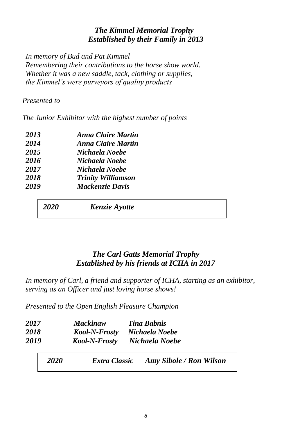## *The Kimmel Memorial Trophy Established by their Family in 2013*

*In memory of Bud and Pat Kimmel Remembering their contributions to the horse show world. Whether it was a new saddle, tack, clothing or supplies, the Kimmel's were purveyors of quality products*

## *Presented to*

*The Junior Exhibitor with the highest number of points*

| 2013 | <b>Anna Claire Martin</b> |
|------|---------------------------|
| 2014 | <b>Anna Claire Martin</b> |
| 2015 | Nichaela Noebe            |
| 2016 | Nichaela Noebe            |
| 2017 | Nichaela Noebe            |
| 2018 | <b>Trinity Williamson</b> |
| 2019 | <b>Mackenzie Davis</b>    |
|      |                           |

*2020 Kenzie Ayotte* 

## *The Carl Gatts Memorial Trophy Established by his friends at ICHA in 2017*

*In memory of Carl, a friend and supporter of ICHA, starting as an exhibitor, serving as an Officer and just loving horse shows!*

*Presented to the Open English Pleasure Champion*

| 2017<br>2018<br>2019 |             | <b>Mackinaw</b><br>Kool-N-Frosty<br>Kool-N-Frosty | <b>Tina Bahnis</b><br>Nichaela Noebe<br>Nichaela Noebe |
|----------------------|-------------|---------------------------------------------------|--------------------------------------------------------|
|                      | <b>2020</b> | Extra Classic                                     | <b>Amy Sibole / Ron Wilson</b>                         |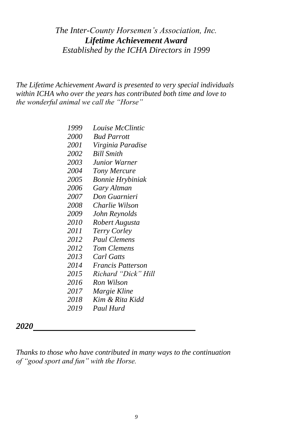## *The Inter-County Horsemen's Association, Inc. Lifetime Achievement Award Established by the ICHA Directors in 1999*

*The Lifetime Achievement Award is presented to very special individuals within ICHA who over the years has contributed both time and love to the wonderful animal we call the "Horse"*

> *Louise McClintic Bud Parrott Virginia Paradise Bill Smith Junior Warner Tony Mercure Bonnie Hrybiniak Gary Altman Don Guarnieri Charlie Wilson John Reynolds Robert Augusta Terry Corley Paul Clemens Tom Clemens Carl Gatts 2014 Francis Patterson Richard "Dick" Hill Ron Wilson Margie Kline Kim & Rita Kidd Paul Hurd*

*Thanks to those who have contributed in many ways to the continuation of "good sport and fun" with the Horse.*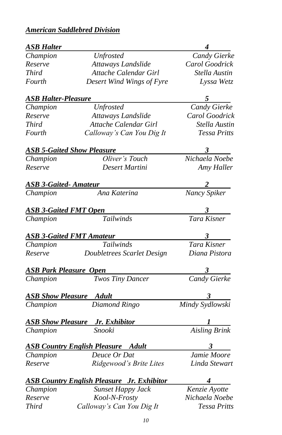# *American Saddlebred Division*

| <b>ASB Halter</b>             |                                                   |                                 |
|-------------------------------|---------------------------------------------------|---------------------------------|
| Champion                      | <b>Unfrosted</b>                                  | Candy Gierke                    |
| Reserve                       | Attaways Landslide                                | Carol Goodrick                  |
| Third                         | Attache Calendar Girl                             | Stella Austin                   |
| Fourth                        | Desert Wind Wings of Fyre                         | Lyssa Wetz                      |
| <b>ASB Halter-Pleasure</b>    |                                                   |                                 |
| Champion                      | <b>Unfrosted</b>                                  | <b>Candy Gierke</b>             |
| Reserve                       | Attaways Landslide                                | Carol Goodrick                  |
| <b>Third</b>                  | Attache Calendar Girl                             | Stella Austin                   |
| Fourth                        | Calloway's Can You Dig It                         | Tessa Pritts                    |
|                               | <b>ASB 5-Gaited Show Pleasure</b>                 | $3^{\circ}$                     |
| Champion                      | Oliver's Touch                                    | Nichaela Noebe                  |
| Reserve                       | Desert Martini                                    | Amy Haller                      |
| <b>ASB 3-Gaited-Amateur</b>   |                                                   |                                 |
| Champion                      | Ana Katerina                                      | $\frac{2}{\text{Nancy Spiker}}$ |
| <b>ASB 3-Gaited FMT Open</b>  |                                                   |                                 |
| Champion                      | Tailwinds                                         | $\frac{3}{\text{Tara Kisner}}$  |
|                               | <b>ASB 3-Gaited FMT Amateur</b>                   |                                 |
| Champion                      | Tailwinds                                         | $\frac{3}{\text{Tara Kisner}}$  |
| Reserve                       | Doubletrees Scarlet Design                        | Diana Pistora                   |
| <b>ASB Park Pleasure Open</b> |                                                   | $3 \quad$                       |
| Champion                      | <b>Twos Tiny Dancer</b>                           | Candy Gierke                    |
|                               | <b>ASB Show Pleasure Adult</b>                    |                                 |
| Champion                      | Diamond Ringo                                     | 3<br>Mindy Sydlowski            |
|                               | <b>ASB Show Pleasure</b> Jr. Exhibitor            | $\frac{1}{\sqrt{2}}$            |
| Champion                      | Snooki                                            | <b>Aisling Brink</b>            |
|                               | <b>ASB Country English Pleasure</b> Adult         | $3^{\circ}$                     |
| Champion                      | Deuce Or Dat                                      | Jamie Moore                     |
| Reserve                       | Ridgewood's Brite Lites                           | Linda Stewart                   |
|                               | <b>ASB Country English Pleasure Jr. Exhibitor</b> | $4 \quad$                       |
| Champion                      | <b>Sunset Happy Jack</b>                          | Kenzie Ayotte                   |
| Reserve                       | Kool-N-Frosty                                     | Nichaela Noebe                  |
| <b>Third</b>                  | Calloway's Can You Dig It                         | <b>Tessa Pritts</b>             |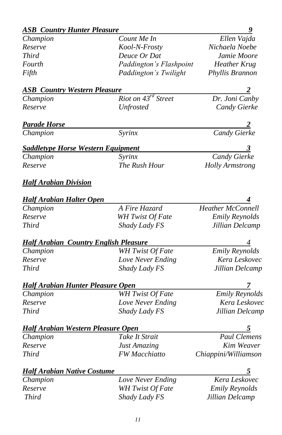# *ASB Country Hunter Pleasure* 9

| Champion                                     | Count Me In                     | Ellen Vajda              |
|----------------------------------------------|---------------------------------|--------------------------|
| Reserve                                      | Kool-N-Frosty                   | Nichaela Noebe           |
| <i>Third</i>                                 | Deuce Or Dat                    | Jamie Moore              |
| Fourth                                       | Paddington's Flashpoint         | <b>Heather Krug</b>      |
| Fifth                                        | Paddington's Twilight           | Phyllis Brannon          |
| <b>ASB Country Western Pleasure</b>          |                                 |                          |
| Champion                                     | Riot on 43 <sup>rd</sup> Street | Dr. Joni Canby           |
| Reserve                                      | <b>Unfrosted</b>                | Candy Gierke             |
| <b>Parade Horse</b>                          |                                 |                          |
| Champion                                     | Syrinx                          | Candy Gierke             |
| <b>Saddletype Horse Western Equipment</b>    |                                 | 3                        |
| Champion                                     | Syrinx                          | Candy Gierke             |
| Reserve                                      | The Rush Hour                   | <b>Holly Armstrong</b>   |
| <u> Half Arabian Division</u>                |                                 |                          |
| <b>Half Arabian Halter Open</b>              |                                 |                          |
| Champion                                     | A Fire Hazard                   | <b>Heather McConnell</b> |
| Reserve                                      | <b>WH</b> Twist Of Fate         | <b>Emily Reynolds</b>    |
| <b>Third</b>                                 | Shady Lady FS                   | Jillian Delcamp          |
| <b>Half Arabian Country English Pleasure</b> |                                 | 4                        |
| Champion                                     | <b>WH</b> Twist Of Fate         | <b>Emily Reynolds</b>    |
| Reserve                                      | Love Never Ending               | Kera Leskovec            |
| Third                                        | Shady Lady FS                   | Jillian Delcamp          |
| <b>Half Arabian Hunter Pleasure Open</b>     |                                 | $\overline{z}$           |
| Champion                                     | WH Twist Of Fate                | <b>Emily Reynolds</b>    |
| Reserve                                      | Love Never Ending               | Kera Leskovec            |
| Third                                        | Shady Lady FS                   | Jillian Delcamp          |
| <b>Half Arabian Western Pleasure Open</b>    |                                 |                          |
| Champion                                     | Take It Strait                  | <b>Paul Clemens</b>      |
| Reserve                                      | <b>Just Amazing</b>             | Kim Weaver               |
| <b>Third</b>                                 | FW Macchiatto                   | Chiappini/Williamson     |
| <b>Half Arabian Native Costume</b>           |                                 |                          |
| Champion                                     | Love Never Ending               | Kera Leskovec            |
| Reserve                                      | WH Twist Of Fate                | <b>Emily Reynolds</b>    |
| <b>Third</b>                                 | Shady Lady FS                   | Jillian Delcamp          |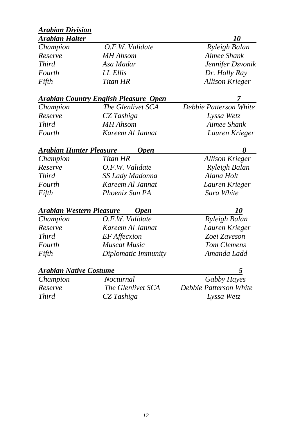| <b>Arabian Halter</b> |                                       | <i>10</i>              |
|-----------------------|---------------------------------------|------------------------|
| Champion              | O.F.W. Validate                       | Ryleigh Balan          |
| Reserve               | MH Ahsom                              | Aimee Shank            |
| <b>Third</b>          | Asa Madar                             | Jennifer Dzvonik       |
| <b>Fourth</b>         | LL Ellis                              | Dr. Holly Ray          |
| Fifth                 | Titan HR                              | <b>Allison Krieger</b> |
|                       | Arabian Country English Pleasure Open | 7                      |
| Champion              | <i>The Glenlivet SCA</i>              | Debbie Patterson White |
| Reserve               | CZ Tashiga                            | Lyssa Wetz             |
| <i>Third</i>          | <b>MH</b> Ahsom                       | Aimee Shank            |
| <i>Fourth</i>         | Kareem Al Jannat                      | Lauren Krieger         |
|                       |                                       |                        |

| Champion | Titan HR         | <b>Allison Krieger</b> |
|----------|------------------|------------------------|
| Reserve  | O.F.W. Validate  | Ryleigh Balan          |
| Third    | SS Lady Madonna  | Alana Holt             |
| Fourth   | Kareem Al Jannat | Lauren Krieger         |
| Fifth    | Phoenix Sun PA   | Sara White             |
|          |                  |                        |

| Arabian Western Pleasure<br><b>Open</b> |                |
|-----------------------------------------|----------------|
| O.F.W. Validate                         | Ryleigh Balan  |
| Kareem Al Jannat                        | Lauren Krieger |
| <b>EF</b> Affecxion                     | Zoei Zaveson   |
| <b>Muscat Music</b>                     | Tom Clemens    |
| Diplomatic Immunity                     | Amanda Ladd    |
|                                         |                |

# *Arabian Native Costume 5*

| Champion     | Nocturnal         | <b>Gabby Hayes</b>     |
|--------------|-------------------|------------------------|
| Reserve      | The Glenlivet SCA | Debbie Patterson White |
| <i>Third</i> | CZ Tashiga        | Lyssa Wetz             |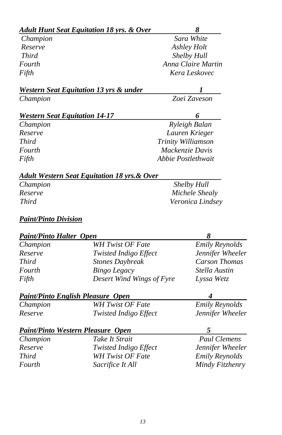|                                      | <b>Adult Hunt Seat Equitation 18 yrs. &amp; Over</b>    | 8                     |  |
|--------------------------------------|---------------------------------------------------------|-----------------------|--|
| Champion                             |                                                         | Sara White            |  |
| Reserve                              |                                                         | Ashley Holt           |  |
| <b>Third</b>                         |                                                         | Shelby Hull           |  |
| Fourth                               |                                                         | Anna Claire Martin    |  |
| Fifth                                |                                                         | Kera Leskovec         |  |
|                                      | <b>Western Seat Equitation 13 yrs &amp; under</b>       |                       |  |
| Champion                             |                                                         | Zoei Zaveson          |  |
| <b>Western Seat Equitation 14-17</b> |                                                         | 6                     |  |
| Champion                             |                                                         | Ryleigh Balan         |  |
| Reserve                              |                                                         | Lauren Krieger        |  |
| <b>Third</b>                         |                                                         | Trinity Williamson    |  |
| Fourth                               |                                                         | Mackenzie Davis       |  |
| Fifth                                |                                                         | Abbie Postlethwait    |  |
|                                      | <u>Adult Western Seat Equitation 18 yrs. &amp; Over</u> |                       |  |
| Champion                             |                                                         | Shelby Hull           |  |
| Reserve                              |                                                         | Michele Shealy        |  |
| Third                                |                                                         | Veronica Lindsey      |  |
| <b>Paint/Pinto Division</b>          |                                                         |                       |  |
| <b>Paint/Pinto Halter Open</b>       |                                                         | 8                     |  |
| Champion                             | <b>WH Twist OF Fate</b>                                 | <b>Emily Reynolds</b> |  |
| Reserve                              | Twisted Indigo Effect                                   | Jennifer Wheeler      |  |
| <b>Third</b>                         | <b>Stones Daybreak</b>                                  | <b>Carson Thomas</b>  |  |
| Fourth                               | <b>Bingo Legacy</b>                                     | Stella Austin         |  |
| Fifth                                | Desert Wind Wings of Fyre                               | Lyssa Wetz            |  |
|                                      | <b>Paint/Pinto English Pleasure Open</b>                | 4                     |  |
| Champion                             | <b>WH Twist OF Fate</b>                                 | <b>Emily Reynolds</b> |  |
| Reserve                              | Twisted Indigo Effect                                   | Jennifer Wheeler      |  |
|                                      | <b>Paint/Pinto Western Pleasure Open</b>                | 5                     |  |
| Champion                             | Take It Strait                                          | Paul Clemens          |  |
| Reserve                              | Twisted Indigo Effect                                   | Jennifer Wheeler      |  |
| <b>Third</b>                         | <b>WH Twist OF Fate</b>                                 | <b>Emily Reynolds</b> |  |
| Fourth                               | Sacrifice It All                                        | Mindy Fitzhenry       |  |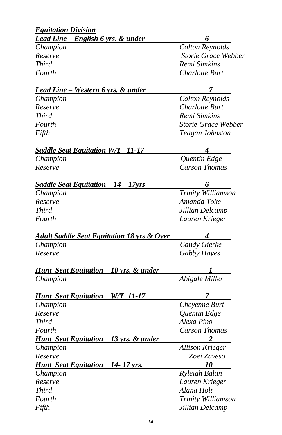| <b>Equitation Division</b>                            |                        |
|-------------------------------------------------------|------------------------|
| <u>Lead Line – English 6 yrs. &amp; under</u>         |                        |
| Champion                                              | <b>Colton Reynolds</b> |
| Reserve                                               | Storie Grace Webber    |
| Third                                                 | Remi Simkins           |
| Fourth                                                | Charlotte Burt         |
| <u>Lead Line – Western 6 yrs. &amp; under</u>         |                        |
| Champion                                              | <b>Colton Reynolds</b> |
| Reserve                                               | Charlotte Burt         |
| Third                                                 | Remi Simkins           |
| Fourth                                                | Storie Grace Webber    |
| Fifth                                                 | Teagan Johnston        |
| <b>Saddle Seat Equitation W/T 11-17</b>               |                        |
| Champion                                              | Quentin Edge           |
| Reserve                                               | <b>Carson Thomas</b>   |
| <u>Saddle Seat Equitation 14 – 17 yrs</u>             | 6                      |
| Champion                                              | Trinity Williamson     |
| Reserve                                               | Amanda Toke            |
| <b>Third</b>                                          | Jillian Delcamp        |
| Fourth                                                | Lauren Krieger         |
| <u>Adult Saddle Seat Equitation 18 yrs &amp; Over</u> |                        |
| Champion                                              | Candy Gierke           |
| Reserve                                               | Gabby Hayes            |
| 10 yrs. & under<br><b>Hunt</b> Seat Equitation        |                        |
| Champion                                              | Abigale Miller         |
| <b>Hunt</b> Seat Equitation<br><i>W/T 11-17</i>       | 7                      |
| Champion                                              | Cheyenne Burt          |
| Reserve                                               | Quentin Edge           |
| <b>Third</b>                                          | Alexa Pino             |
| Fourth                                                | <b>Carson Thomas</b>   |
| Hunt Seat Equitation 13 yrs. & under                  |                        |
| Champion                                              | <b>Allison Krieger</b> |
| Reserve                                               | Zoei Zaveso            |
| <b>Hunt Seat Equitation 14-17 yrs.</b>                | 10                     |
| Champion                                              | Ryleigh Balan          |
| Reserve                                               | Lauren Krieger         |
| <b>Third</b>                                          | Alana Holt             |
| Fourth                                                | Trinity Williamson     |
| Fifth                                                 | Jillian Delcamp        |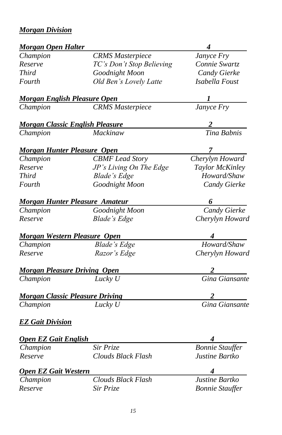# *Morgan Division*

| <b>Morgan Open Halter</b>           |                                        | 4                      |
|-------------------------------------|----------------------------------------|------------------------|
| Champion                            | <b>CRMS</b> Masterpiece                | Janyce Fry             |
| Reserve                             | TC's Don't Stop Believing              | Connie Swartz          |
| Third                               | Goodnight Moon                         | Candy Gierke           |
| Fourth                              | Old Ben's Lovely Latte                 | Isabella Foust         |
| <u>Morgan English Pleasure Open</u> |                                        | 1                      |
| Champion                            | <b>CRMS</b> Masterpiece                | Janyce Fry             |
|                                     | <b>Morgan Classic English Pleasure</b> |                        |
| Champion                            | Mackinaw                               | Tina Babnis            |
| <b>Morgan Hunter Pleasure Open</b>  |                                        |                        |
| Champion                            | <b>CBMF</b> Lead Story                 | Cherylyn Howard        |
| Reserve                             | JP's Living On The Edge                | Taylor McKinley        |
| Third                               | <b>Blade's Edge</b>                    | Howard/Shaw            |
| Fourth                              | Goodnight Moon                         | Candy Gierke           |
|                                     | <u>Morgan Hunter Pleasure Amateur</u>  | 6                      |
| Champion                            | Goodnight Moon                         | Candy Gierke           |
| Reserve                             | <b>Blade's Edge</b>                    | Cherylyn Howard        |
| <b>Morgan Western Pleasure Open</b> |                                        |                        |
| Champion                            | <b>Blade's Edge</b>                    | Howard/Shaw            |
| Reserve                             | Razor's Edge                           | Cherylyn Howard        |
| <b>Morgan Pleasure Driving Open</b> |                                        |                        |
| Champion                            | Lucky U                                | Gina Giansante         |
|                                     | <b>Morgan Classic Pleasure Driving</b> |                        |
| Champion                            | Lucky U                                | Gina Giansante         |
| <b>EZ Gait Division</b>             |                                        |                        |
| <b>Open EZ Gait English</b>         |                                        |                        |
| Champion                            | Sir Prize                              | <b>Bonnie Stauffer</b> |
| Reserve                             | <b>Clouds Black Flash</b>              | Justine Bartko         |
| <b>Open EZ Gait Western</b>         |                                        |                        |
| Champion                            | Clouds Black Flash                     | Justine Bartko         |
| Reserve                             | Sir Prize                              | <b>Bonnie Stauffer</b> |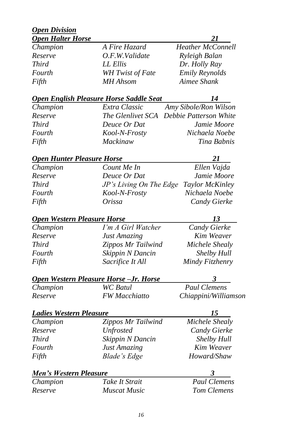#### *Open Division Open Halter Horse 21*

| Champion     | A Fire Hazard    | <b>Heather McConnell</b> |
|--------------|------------------|--------------------------|
| Reserve      | O.F.W.Validate   | Ryleigh Balan            |
| <i>Third</i> | LL Ellis         | Dr. Holly Ray            |
| Fourth       | WH Twist of Fate | <b>Emily Reynolds</b>    |
| Fifth        | MH Ahsom         | Aimee Shank              |

### *Open English Pleasure Horse Saddle Seat 14*

| Champion     | Extra Classic | Amy Sibole/Ron Wilson                    |
|--------------|---------------|------------------------------------------|
| Reserve      |               | The Glenlivet SCA Debbie Patterson White |
| <i>Third</i> | Deuce Or Dat  | Jamie Moore                              |
| Fourth       | Kool-N-Frosty | Nichaela Noebe                           |
| Fifth        | Mackinaw      | Tina Babnis                              |

### *Open Hunter Pleasure Horse 21*

| Champion | Count Me In                             | Ellen Vajda         |
|----------|-----------------------------------------|---------------------|
| Reserve  | Deuce Or Dat                            | Jamie Moore         |
| Third    | JP's Living On The Edge Taylor McKinley |                     |
| Fourth   | Kool-N-Frosty                           | Nichaela Noebe      |
| Fifth    | Orissa                                  | <b>Candy Gierke</b> |

## **Open Western Pleasure Horse** 13

## *Champion I'm A Girl Watcher Candy Gierke Reserve Just Amazing Kim Weaver Third Zippos Mr Tailwind Michele Shealy Fourth Skippin N Dancin Shelby Hull Fifth Sacrifice It All Mindy Fitzhenry*

## *Open Western Pleasure Horse –Jr. Horse 3*

*Champion WC Batul Paul Clemens*

*Reserve FW Macchiatto Chiappini/Williamson*

## *Ladies Western Pleasure 15*

*Champion Zippos Mr Tailwind Michele Shealy Reserve Unfrosted Candy Gierke Third Skippin N Dancin Shelby Hull Fourth Just Amazing Kim Weaver Fifth Blade's Edge Howard/Shaw*

| Men's Western Pleasure |  |
|------------------------|--|
|                        |  |

| Champion | Take It Strait | <b>Paul Clemens</b> |
|----------|----------------|---------------------|
| Reserve  | Muscat Music   | Tom Clemens         |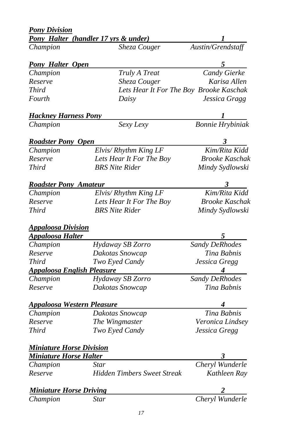| Pony Halter (handler 17 yrs & under) |                                                                                                                                                                                                                                                                                                                                                                                                                                                                                                                                              |  |
|--------------------------------------|----------------------------------------------------------------------------------------------------------------------------------------------------------------------------------------------------------------------------------------------------------------------------------------------------------------------------------------------------------------------------------------------------------------------------------------------------------------------------------------------------------------------------------------------|--|
| Sheza Couger                         | Austin/Grendstaff                                                                                                                                                                                                                                                                                                                                                                                                                                                                                                                            |  |
| <b>Pony Halter Open</b>              | 5                                                                                                                                                                                                                                                                                                                                                                                                                                                                                                                                            |  |
|                                      | Candy Gierke                                                                                                                                                                                                                                                                                                                                                                                                                                                                                                                                 |  |
|                                      | Karisa Allen                                                                                                                                                                                                                                                                                                                                                                                                                                                                                                                                 |  |
|                                      |                                                                                                                                                                                                                                                                                                                                                                                                                                                                                                                                              |  |
| Daisy                                | Jessica Gragg                                                                                                                                                                                                                                                                                                                                                                                                                                                                                                                                |  |
|                                      |                                                                                                                                                                                                                                                                                                                                                                                                                                                                                                                                              |  |
| Sexy Lexy                            | Bonnie Hrybiniak                                                                                                                                                                                                                                                                                                                                                                                                                                                                                                                             |  |
|                                      | 3                                                                                                                                                                                                                                                                                                                                                                                                                                                                                                                                            |  |
|                                      | Kim/Rita Kidd                                                                                                                                                                                                                                                                                                                                                                                                                                                                                                                                |  |
|                                      | <b>Brooke Kaschak</b>                                                                                                                                                                                                                                                                                                                                                                                                                                                                                                                        |  |
| <b>BRS</b> Nite Rider                | Mindy Sydlowski                                                                                                                                                                                                                                                                                                                                                                                                                                                                                                                              |  |
|                                      | 3                                                                                                                                                                                                                                                                                                                                                                                                                                                                                                                                            |  |
|                                      | Kim/Rita Kidd                                                                                                                                                                                                                                                                                                                                                                                                                                                                                                                                |  |
|                                      | <b>Brooke Kaschak</b>                                                                                                                                                                                                                                                                                                                                                                                                                                                                                                                        |  |
| <b>BRS</b> Nite Rider                | Mindy Sydlowski                                                                                                                                                                                                                                                                                                                                                                                                                                                                                                                              |  |
|                                      |                                                                                                                                                                                                                                                                                                                                                                                                                                                                                                                                              |  |
|                                      | 5                                                                                                                                                                                                                                                                                                                                                                                                                                                                                                                                            |  |
|                                      | Sandy DeRhodes                                                                                                                                                                                                                                                                                                                                                                                                                                                                                                                               |  |
|                                      | Tina Babnis                                                                                                                                                                                                                                                                                                                                                                                                                                                                                                                                  |  |
|                                      | Jessica Gregg                                                                                                                                                                                                                                                                                                                                                                                                                                                                                                                                |  |
|                                      | 4                                                                                                                                                                                                                                                                                                                                                                                                                                                                                                                                            |  |
|                                      | Sandy DeRhodes                                                                                                                                                                                                                                                                                                                                                                                                                                                                                                                               |  |
| Dakotas Snowcap                      | Tina Babnis                                                                                                                                                                                                                                                                                                                                                                                                                                                                                                                                  |  |
|                                      |                                                                                                                                                                                                                                                                                                                                                                                                                                                                                                                                              |  |
|                                      | Tina Babnis                                                                                                                                                                                                                                                                                                                                                                                                                                                                                                                                  |  |
|                                      | Veronica Lindsey                                                                                                                                                                                                                                                                                                                                                                                                                                                                                                                             |  |
| Two Eyed Candy                       | Jessica Gregg                                                                                                                                                                                                                                                                                                                                                                                                                                                                                                                                |  |
|                                      |                                                                                                                                                                                                                                                                                                                                                                                                                                                                                                                                              |  |
| <u>Miniature Horse Halter</u>        | 3                                                                                                                                                                                                                                                                                                                                                                                                                                                                                                                                            |  |
| Star                                 | Cheryl Wunderle                                                                                                                                                                                                                                                                                                                                                                                                                                                                                                                              |  |
| <b>Hidden Timbers Sweet Streak</b>   | Kathleen Ray                                                                                                                                                                                                                                                                                                                                                                                                                                                                                                                                 |  |
| <b>Miniature Horse Driving</b>       |                                                                                                                                                                                                                                                                                                                                                                                                                                                                                                                                              |  |
| Star                                 | Cheryl Wunderle                                                                                                                                                                                                                                                                                                                                                                                                                                                                                                                              |  |
|                                      | Truly A Treat<br>Sheza Couger<br>Lets Hear It For The Boy Brooke Kaschak<br><b>Hackney Harness Pony</b><br><b>Roadster Pony Open</b><br>Elvis/Rhythm King LF<br>Lets Hear It For The Boy<br><b>Roadster Pony Amateur</b><br>Elvis/ Rhythm King LF<br>Lets Hear It For The Boy<br><u> Appaloosa Division</u><br>Hydaway SB Zorro<br>Dakotas Snowcap<br>Two Eyed Candy<br><u> Appaloosa English Pleasure</u><br>Hydaway SB Zorro<br><u> Appaloosa Western Pleasure</u><br>Dakotas Snowcap<br>The Wingmaster<br><b>Miniature Horse Division</b> |  |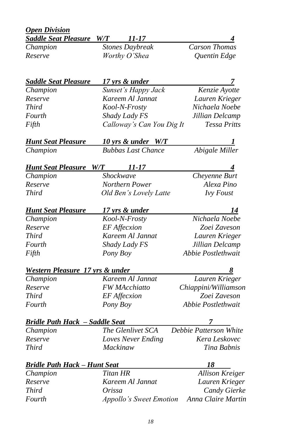| <b>Open Division</b>                       |               |                                |                        |
|--------------------------------------------|---------------|--------------------------------|------------------------|
| <b>Saddle Seat Pleasure</b>                | W/T           | 11-17                          |                        |
| Champion                                   |               | <b>Stones Daybreak</b>         | <b>Carson Thomas</b>   |
| Reserve                                    |               | Worthy O'Shea                  | Quentin Edge           |
|                                            |               |                                |                        |
| <b>Saddle Seat Pleasure</b>                |               | 17 yrs & under                 | 7                      |
| Champion                                   |               | Sunset's Happy Jack            | Kenzie Ayotte          |
| Reserve                                    |               | Kareem Al Jannat               | Lauren Krieger         |
| <b>Third</b>                               | Kool-N-Frosty |                                | Nichaela Noebe         |
| Fourth                                     | Shady Lady FS |                                | Jillian Delcamp        |
| Fifth                                      |               | Calloway's Can You Dig It      | <b>Tessa Pritts</b>    |
| <b>Hunt Seat Pleasure</b>                  |               | 10 yrs & under W/T             |                        |
| Champion                                   |               | <b>Bubbas Last Chance</b>      | Abigale Miller         |
| <b>Hunt Seat Pleasure</b>                  | W/T           | 11-17                          |                        |
| Champion                                   |               | Shockwave                      | Cheyenne Burt          |
| Reserve                                    |               | Northern Power                 | Alexa Pino             |
| <b>Third</b>                               |               | Old Ben's Lovely Latte         | <b>Ivy Foust</b>       |
| <u>Hunt Seat Pleasure</u>                  |               | <u>17 yrs &amp; under</u>      | 14                     |
| Champion                                   |               | Kool-N-Frosty                  | Nichaela Noebe         |
| Reserve                                    |               | <b>EF</b> Affecxion            | Zoei Zaveson           |
| <b>Third</b>                               |               | Kareem Al Jannat               | Lauren Krieger         |
| Fourth                                     |               | Shady Lady FS                  | Jillian Delcamp        |
| Fifth                                      |               | Pony Boy                       | Abbie Postlethwait     |
| <u>Western Pleasure 17 yrs &amp; under</u> |               |                                |                        |
| Champion                                   |               | Kareem Al Jannat               | Lauren Krieger         |
| Reserve                                    |               | <b>FW</b> MAcchiatto           | Chiappini/Williamson   |
| <b>Third</b>                               |               | <b>EF</b> Affecxion            | Zoei Zaveson           |
| Fourth                                     |               | Pony Boy                       | Abbie Postlethwait     |
| <u> Bridle Path Hack – Saddle Seat</u>     |               |                                |                        |
| Champion                                   |               | The Glenlivet SCA              | Debbie Patterson White |
| Reserve                                    |               | Loves Never Ending             | Kera Leskovec          |
| Third                                      |               | Mackinaw                       | Tina Babnis            |
| <b>Bridle Path Hack - Hunt Seat</b>        |               |                                | 18                     |
| Champion                                   |               | <b>Titan HR</b>                | <b>Allison Kreiger</b> |
| Reserve                                    |               | Kareem Al Jannat               | Lauren Krieger         |
| <b>Third</b>                               | Orissa        |                                | Candy Gierke           |
| Fourth                                     |               | <b>Appollo's Sweet Emotion</b> | Anna Claire Martin     |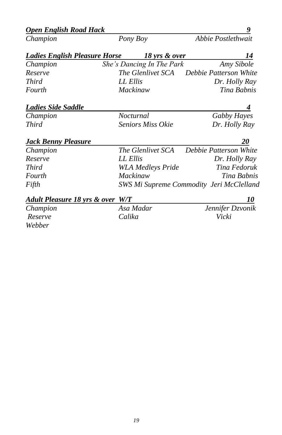| <b>Open English Road Hack</b>        | 9        |                                          |                        |  |
|--------------------------------------|----------|------------------------------------------|------------------------|--|
| Champion                             |          | Pony Boy                                 | Abbie Postlethwait     |  |
| <b>Ladies English Pleasure Horse</b> |          | 18 yrs & over                            | 14                     |  |
| Champion                             |          | She's Dancing In The Park                | Amy Sibole             |  |
| Reserve                              |          | <i>The Glenlivet SCA</i>                 | Debbie Patterson White |  |
| <b>Third</b>                         | LL Ellis |                                          | Dr. Holly Ray          |  |
| Fourth                               |          | Mackinaw                                 | Tina Babnis            |  |
| Ladies Side Saddle                   |          |                                          |                        |  |
| Champion                             |          | Nocturnal                                | Gabby Hayes            |  |
| <b>Third</b>                         |          | <b>Seniors Miss Okie</b>                 | Dr. Holly Ray          |  |
| Jack Benny Pleasure                  |          |                                          | <i>20</i>              |  |
| Champion                             |          | <i>The Glenlivet SCA</i>                 | Debbie Patterson White |  |
| Reserve                              | LL Ellis |                                          | Dr. Holly Ray          |  |
| <b>Third</b>                         |          | WLA Medleys Pride                        | Tina Fedoruk           |  |
| Fourth                               |          | Mackinaw                                 | Tina Babnis            |  |
| Fifth                                |          | SWS Mi Supreme Commodity Jeri McClelland |                        |  |
| Adult Pleasure 18 yrs & over W/T     |          |                                          | 10                     |  |
| Champion                             |          | Asa Madar                                | Jennifer Dzvonik       |  |
| Reserve                              | Calika   |                                          | Vicki                  |  |

*Webber*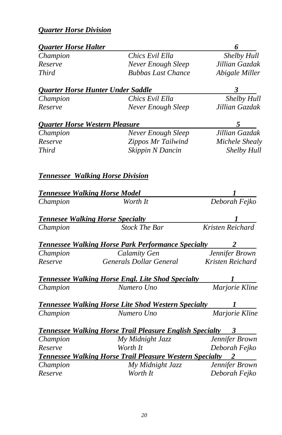# *Quarter Horse Division*

| <b>Quarter Horse Halter</b> |                                                                   | 6                |
|-----------------------------|-------------------------------------------------------------------|------------------|
| Champion                    | Chics Evil Ella                                                   | Shelby Hull      |
| Reserve                     | <b>Never Enough Sleep</b>                                         | Jillian Gazdak   |
| <b>Third</b>                | <b>Bubbas Last Chance</b>                                         | Abigale Miller   |
|                             | <b>Quarter Horse Hunter Under Saddle</b>                          | 3                |
| Champion                    | Chics Evil Ella                                                   | Shelby Hull      |
| Reserve                     | Never Enough Sleep                                                | Jillian Gazdak   |
|                             | <b>Quarter Horse Western Pleasure</b>                             | 5                |
| Champion                    | Never Enough Sleep                                                | Jillian Gazdak   |
| Reserve                     | Zippos Mr Tailwind                                                | Michele Shealy   |
| <b>Third</b>                | Skippin N Dancin                                                  | Shelby Hull      |
|                             | <b>Tennessee Walking Horse Division</b>                           |                  |
|                             | <b>Tennessee Walking Horse Model</b>                              |                  |
| Champion                    | Worth It                                                          | Deborah Fejko    |
|                             | <b>Tennesee Walking Horse Specialty</b>                           |                  |
| Champion                    | <b>Stock The Bar</b>                                              | Kristen Reichard |
|                             | <b>Tennessee Walking Horse Park Performance Specialty</b>         |                  |
| Champion                    | Calamity Gen                                                      | Jennifer Brown   |
| Reserve                     | Generals Dollar General                                           | Kristen Reichard |
|                             | <b>Tennessee Walking Horse Engl. Lite Shod Specialty</b>          |                  |
| Champion                    | Numero Uno                                                        | Marjorie Kline   |
|                             | <b>Tennessee Walking Horse Lite Shod Western Specialty</b>        | 1                |
| Champion                    | Numero Uno                                                        | Marjorie Kline   |
|                             | <b>Tennessee Walking Horse Trail Pleasure English Specialty 3</b> |                  |
| Champion                    | My Midnight Jazz                                                  | Jennifer Brown   |
| Reserve                     | Worth It                                                          | Deborah Fejko    |
|                             | Tennessee Walking Horse Trail Pleasure Western Specialty          | 2                |
| Champion                    | My Midnight Jazz                                                  | Jennifer Brown   |
| Reserve                     | Worth It                                                          | Deborah Fejko    |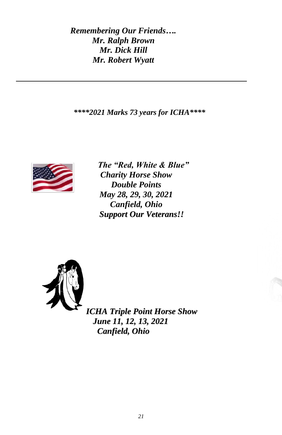*Remembering Our Friends…. Mr. Ralph Brown Mr. Dick Hill Mr. Robert Wyatt*

*\*\*\*\*2021 Marks 73 years for ICHA\*\*\*\**



*The "Red, White & Blue" Charity Horse Show Double Points May 28, 29, 30, 2021 Canfield, Ohio Support Our Veterans!!*



*ICHA Triple Point Horse Show June 11, 12, 13, 2021 Canfield, Ohio*